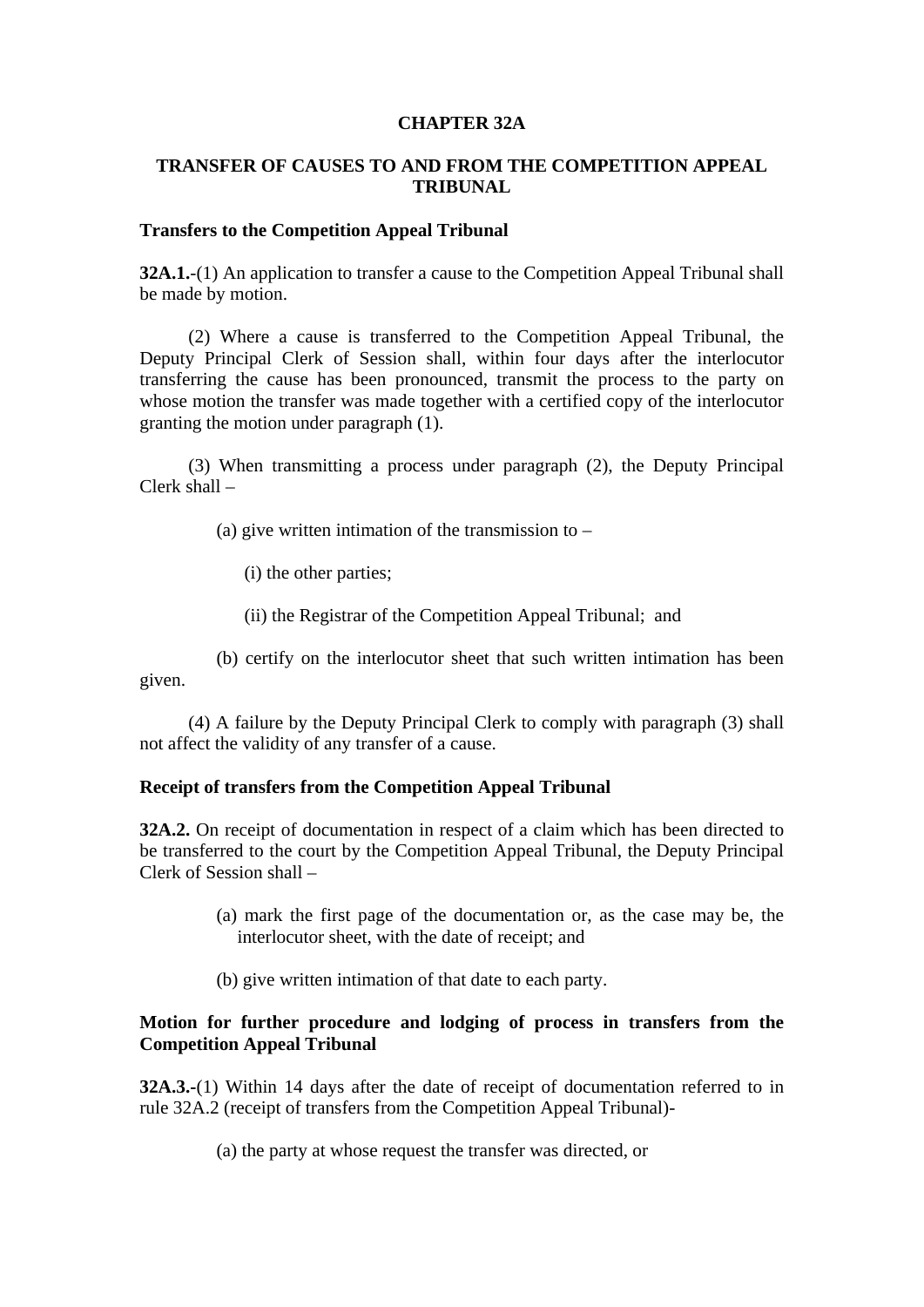#### **CHAPTER 32A**

# **TRANSFER OF CAUSES TO AND FROM THE COMPETITION APPEAL TRIBUNAL**

## **Transfers to the Competition Appeal Tribunal**

**32A.1.**-(1) An application to transfer a cause to the Competition Appeal Tribunal shall be made by motion.

 (2) Where a cause is transferred to the Competition Appeal Tribunal, the Deputy Principal Clerk of Session shall, within four days after the interlocutor transferring the cause has been pronounced, transmit the process to the party on whose motion the transfer was made together with a certified copy of the interlocutor granting the motion under paragraph (1).

 (3) When transmitting a process under paragraph (2), the Deputy Principal Clerk shall –

(a) give written intimation of the transmission to  $-$ 

(i) the other parties;

(ii) the Registrar of the Competition Appeal Tribunal; and

 (b) certify on the interlocutor sheet that such written intimation has been given.

 (4) A failure by the Deputy Principal Clerk to comply with paragraph (3) shall not affect the validity of any transfer of a cause.

#### **Receipt of transfers from the Competition Appeal Tribunal**

**32A.2.** On receipt of documentation in respect of a claim which has been directed to be transferred to the court by the Competition Appeal Tribunal, the Deputy Principal Clerk of Session shall –

- (a) mark the first page of the documentation or, as the case may be, the interlocutor sheet, with the date of receipt; and
- (b) give written intimation of that date to each party.

## **Motion for further procedure and lodging of process in transfers from the Competition Appeal Tribunal**

**32A.3.-**(1) Within 14 days after the date of receipt of documentation referred to in rule 32A.2 (receipt of transfers from the Competition Appeal Tribunal)-

(a) the party at whose request the transfer was directed, or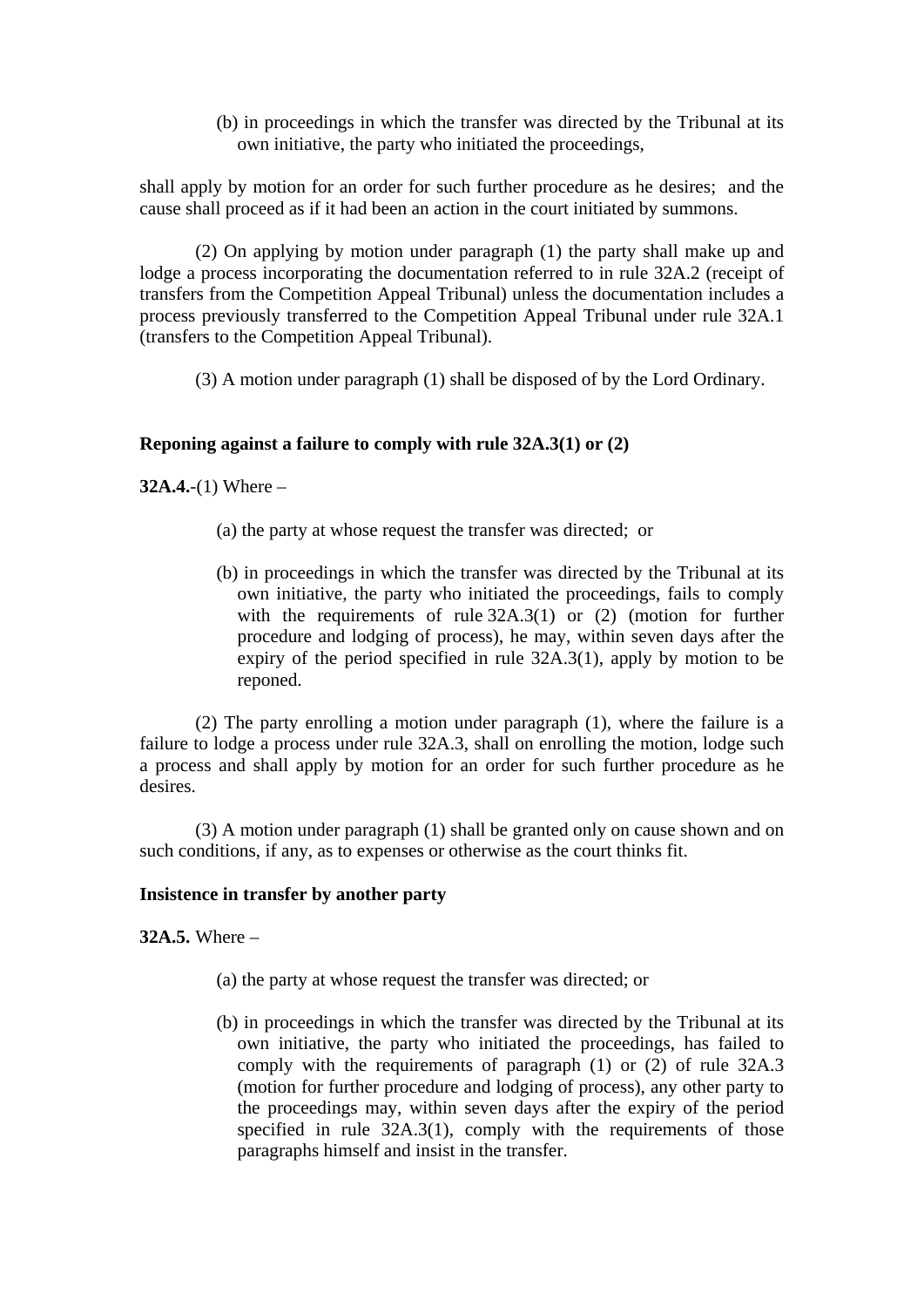(b) in proceedings in which the transfer was directed by the Tribunal at its own initiative, the party who initiated the proceedings,

shall apply by motion for an order for such further procedure as he desires; and the cause shall proceed as if it had been an action in the court initiated by summons.

 (2) On applying by motion under paragraph (1) the party shall make up and lodge a process incorporating the documentation referred to in rule 32A.2 (receipt of transfers from the Competition Appeal Tribunal) unless the documentation includes a process previously transferred to the Competition Appeal Tribunal under rule 32A.1 (transfers to the Competition Appeal Tribunal).

(3) A motion under paragraph (1) shall be disposed of by the Lord Ordinary.

# **Reponing against a failure to comply with rule 32A.3(1) or (2)**

**32A.4.**-(1) Where –

- (a) the party at whose request the transfer was directed; or
- (b) in proceedings in which the transfer was directed by the Tribunal at its own initiative, the party who initiated the proceedings, fails to comply with the requirements of rule  $32A.3(1)$  or (2) (motion for further procedure and lodging of process), he may, within seven days after the expiry of the period specified in rule 32A.3(1), apply by motion to be reponed.

 (2) The party enrolling a motion under paragraph (1), where the failure is a failure to lodge a process under rule 32A.3, shall on enrolling the motion, lodge such a process and shall apply by motion for an order for such further procedure as he desires.

 (3) A motion under paragraph (1) shall be granted only on cause shown and on such conditions, if any, as to expenses or otherwise as the court thinks fit.

## **Insistence in transfer by another party**

**32A.5.** Where –

- (a) the party at whose request the transfer was directed; or
- (b) in proceedings in which the transfer was directed by the Tribunal at its own initiative, the party who initiated the proceedings, has failed to comply with the requirements of paragraph (1) or (2) of rule 32A.3 (motion for further procedure and lodging of process), any other party to the proceedings may, within seven days after the expiry of the period specified in rule 32A.3(1), comply with the requirements of those paragraphs himself and insist in the transfer.